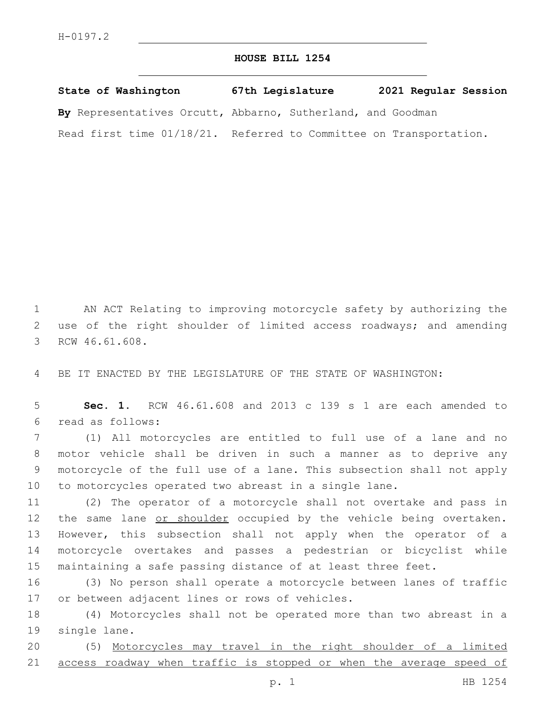## **HOUSE BILL 1254**

| State of Washington                                                | 67th Legislature | 2021 Regular Session |
|--------------------------------------------------------------------|------------------|----------------------|
| By Representatives Orcutt, Abbarno, Sutherland, and Goodman        |                  |                      |
| Read first time 01/18/21. Referred to Committee on Transportation. |                  |                      |

1 AN ACT Relating to improving motorcycle safety by authorizing the 2 use of the right shoulder of limited access roadways; and amending 3 RCW 46.61.608.

4 BE IT ENACTED BY THE LEGISLATURE OF THE STATE OF WASHINGTON:

5 **Sec. 1.** RCW 46.61.608 and 2013 c 139 s 1 are each amended to read as follows:6

 (1) All motorcycles are entitled to full use of a lane and no motor vehicle shall be driven in such a manner as to deprive any motorcycle of the full use of a lane. This subsection shall not apply to motorcycles operated two abreast in a single lane.

 (2) The operator of a motorcycle shall not overtake and pass in 12 the same lane or shoulder occupied by the vehicle being overtaken. However, this subsection shall not apply when the operator of a motorcycle overtakes and passes a pedestrian or bicyclist while maintaining a safe passing distance of at least three feet.

16 (3) No person shall operate a motorcycle between lanes of traffic 17 or between adjacent lines or rows of vehicles.

18 (4) Motorcycles shall not be operated more than two abreast in a 19 single lane.

20 (5) Motorcycles may travel in the right shoulder of a limited 21 access roadway when traffic is stopped or when the average speed of

p. 1 HB 1254